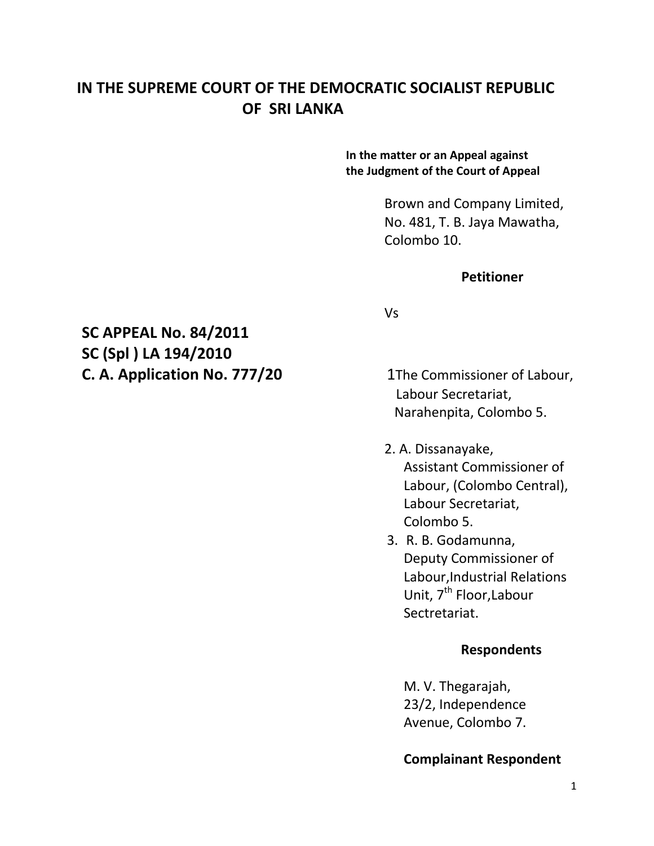## **IN THE SUPREME COURT OF THE DEMOCRATIC SOCIALIST REPUBLIC OF SRI LANKA**

#### **In the matter or an Appeal against the Judgment of the Court of Appeal**

Brown and Company Limited, No. 481, T. B. Jaya Mawatha, Colombo 10.

#### **Petitioner**

# **SC APPEAL No. 84/2011 SC (Spl ) LA 194/2010 C. A. Application No. 777/20** 1The Commissioner of Labour,

Vs

 Labour Secretariat, Narahenpita, Colombo 5.

- 2. A. Dissanayake, Assistant Commissioner of Labour, (Colombo Central), Labour Secretariat, Colombo 5.
- 3. R. B. Godamunna, Deputy Commissioner of Labour,Industrial Relations Unit, 7<sup>th</sup> Floor, Labour Sectretariat.

#### **Respondents**

M. V. Thegarajah, 23/2, Independence Avenue, Colombo 7.

### **Complainant Respondent**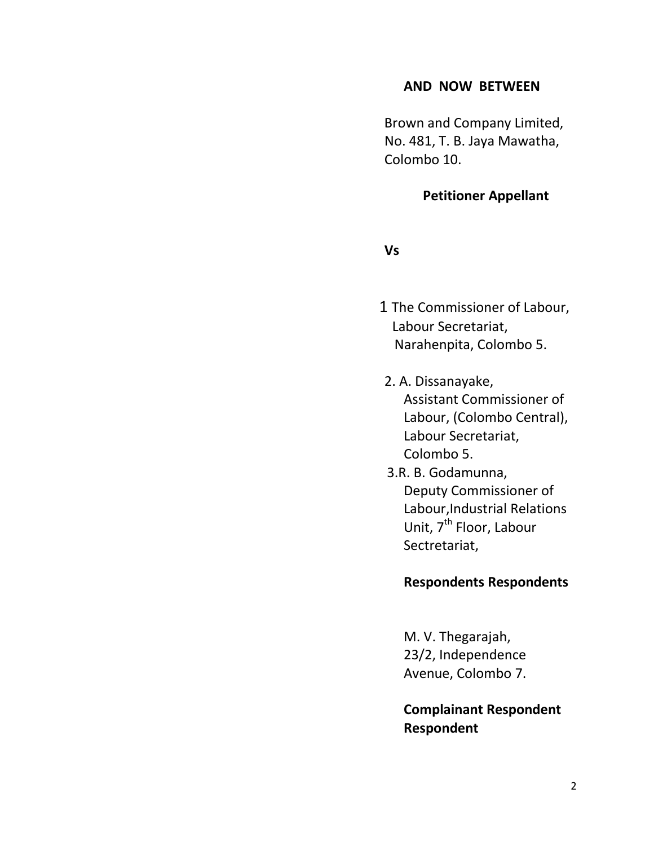### **AND NOW BETWEEN**

 Brown and Company Limited, No. 481, T. B. Jaya Mawatha, Colombo 10.

### **Petitioner Appellant**

**Vs**

- 1 The Commissioner of Labour, Labour Secretariat, Narahenpita, Colombo 5.
- 2. A. Dissanayake, Assistant Commissioner of Labour, (Colombo Central), Labour Secretariat, Colombo 5.
- 3.R. B. Godamunna, Deputy Commissioner of Labour,Industrial Relations Unit, 7<sup>th</sup> Floor, Labour Sectretariat,

#### **Respondents Respondents**

M. V. Thegarajah, 23/2, Independence Avenue, Colombo 7.

**Complainant Respondent Respondent**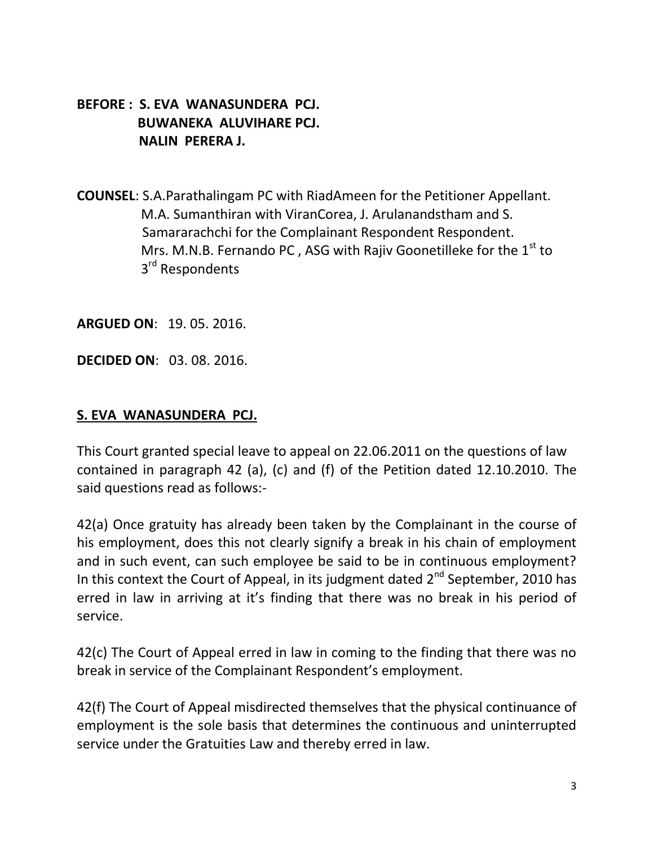## **BEFORE : S. EVA WANASUNDERA PCJ. BUWANEKA ALUVIHARE PCJ. NALIN PERERA J.**

**COUNSEL**: S.A.Parathalingam PC with RiadAmeen for the Petitioner Appellant. M.A. Sumanthiran with ViranCorea, J. Arulanandstham and S. Samararachchi for the Complainant Respondent Respondent. Mrs. M.N.B. Fernando PC, ASG with Rajiv Goonetilleke for the  $1<sup>st</sup>$  to 3 3<sup>rd</sup> Respondents

**ARGUED ON**: 19. 05. 2016.

**DECIDED ON**: 03. 08. 2016.

#### **S. EVA WANASUNDERA PCJ.**

This Court granted special leave to appeal on 22.06.2011 on the questions of law contained in paragraph 42 (a), (c) and (f) of the Petition dated 12.10.2010. The said questions read as follows:-

42(a) Once gratuity has already been taken by the Complainant in the course of his employment, does this not clearly signify a break in his chain of employment and in such event, can such employee be said to be in continuous employment? In this context the Court of Appeal, in its judgment dated 2<sup>nd</sup> September, 2010 has erred in law in arriving at it's finding that there was no break in his period of service.

42(c) The Court of Appeal erred in law in coming to the finding that there was no break in service of the Complainant Respondent's employment.

42(f) The Court of Appeal misdirected themselves that the physical continuance of employment is the sole basis that determines the continuous and uninterrupted service under the Gratuities Law and thereby erred in law.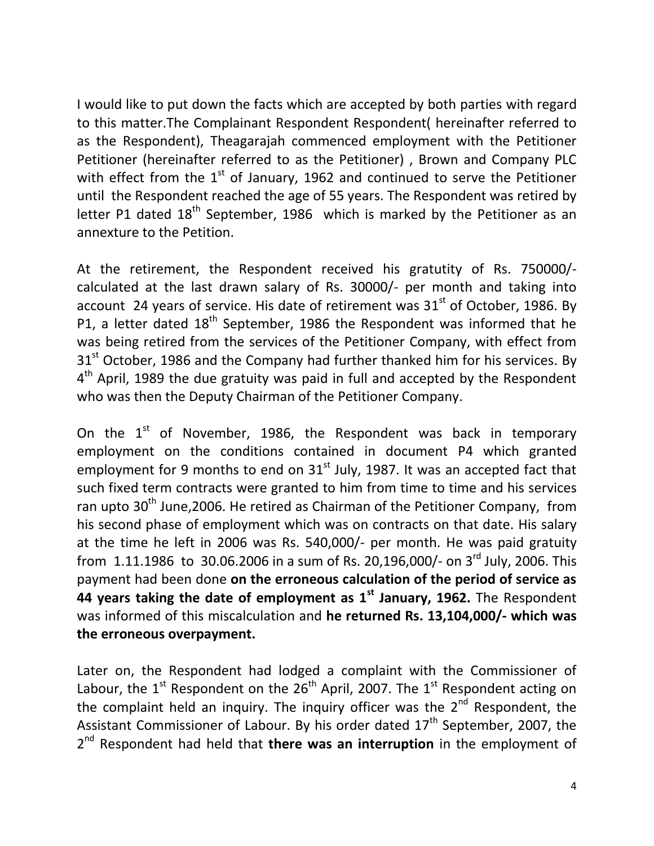I would like to put down the facts which are accepted by both parties with regard to this matter.The Complainant Respondent Respondent( hereinafter referred to as the Respondent), Theagarajah commenced employment with the Petitioner Petitioner (hereinafter referred to as the Petitioner) , Brown and Company PLC with effect from the  $1<sup>st</sup>$  of January, 1962 and continued to serve the Petitioner until the Respondent reached the age of 55 years. The Respondent was retired by letter P1 dated  $18<sup>th</sup>$  September, 1986 which is marked by the Petitioner as an annexture to the Petition.

At the retirement, the Respondent received his gratutity of Rs. 750000/ calculated at the last drawn salary of Rs. 30000/- per month and taking into account 24 years of service. His date of retirement was  $31<sup>st</sup>$  of October, 1986. By P1, a letter dated 18<sup>th</sup> September, 1986 the Respondent was informed that he was being retired from the services of the Petitioner Company, with effect from  $31<sup>st</sup>$  October, 1986 and the Company had further thanked him for his services. By 4<sup>th</sup> April, 1989 the due gratuity was paid in full and accepted by the Respondent who was then the Deputy Chairman of the Petitioner Company.

On the  $1<sup>st</sup>$  of November, 1986, the Respondent was back in temporary employment on the conditions contained in document P4 which granted employment for 9 months to end on  $31<sup>st</sup>$  July, 1987. It was an accepted fact that such fixed term contracts were granted to him from time to time and his services ran upto 30<sup>th</sup> June, 2006. He retired as Chairman of the Petitioner Company, from his second phase of employment which was on contracts on that date. His salary at the time he left in 2006 was Rs. 540,000/- per month. He was paid gratuity from 1.11.1986 to 30.06.2006 in a sum of Rs. 20,196,000/- on 3<sup>rd</sup> July, 2006. This payment had been done **on the erroneous calculation of the period of service as 44 years taking the date of employment as 1st January, 1962.** The Respondent was informed of this miscalculation and **he returned Rs. 13,104,000/- which was the erroneous overpayment.** 

Later on, the Respondent had lodged a complaint with the Commissioner of Labour, the  $1^{st}$  Respondent on the  $26^{th}$  April, 2007. The  $1^{st}$  Respondent acting on the complaint held an inquiry. The inquiry officer was the  $2^{nd}$  Respondent, the Assistant Commissioner of Labour. By his order dated  $17<sup>th</sup>$  September, 2007, the 2<sup>nd</sup> Respondent had held that **there was an interruption** in the employment of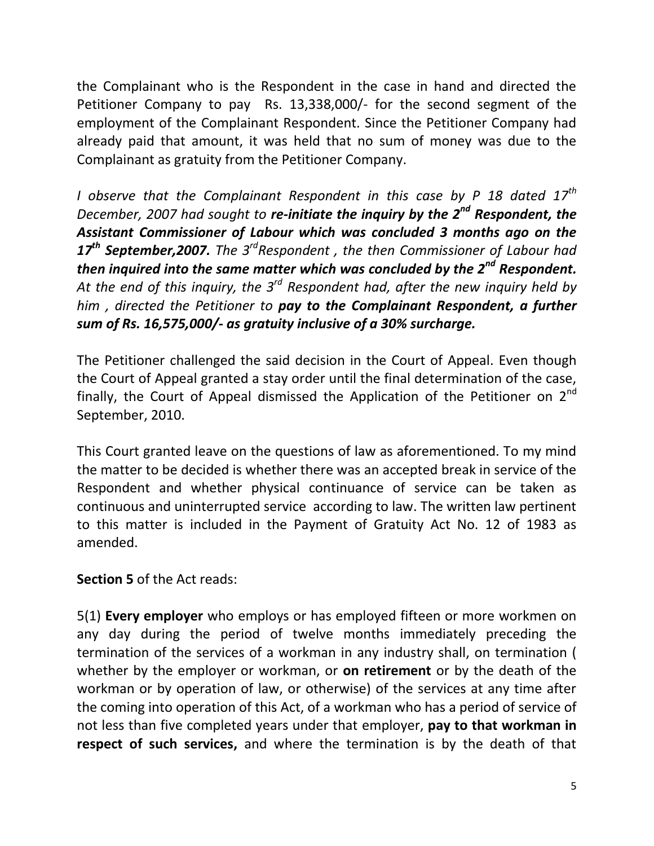the Complainant who is the Respondent in the case in hand and directed the Petitioner Company to pay Rs. 13,338,000/- for the second segment of the employment of the Complainant Respondent. Since the Petitioner Company had already paid that amount, it was held that no sum of money was due to the Complainant as gratuity from the Petitioner Company.

*I observe that the Complainant Respondent in this case by P 18 dated 17th December, 2007 had sought to re-initiate the inquiry by the 2nd Respondent, the Assistant Commissioner of Labour which was concluded 3 months ago on the 17th September,2007. The 3rdRespondent , the then Commissioner of Labour had then inquired into the same matter which was concluded by the 2nd Respondent. At the end of this inquiry, the 3rd Respondent had, after the new inquiry held by him , directed the Petitioner to pay to the Complainant Respondent, a further sum of Rs. 16,575,000/- as gratuity inclusive of a 30% surcharge.* 

The Petitioner challenged the said decision in the Court of Appeal. Even though the Court of Appeal granted a stay order until the final determination of the case, finally, the Court of Appeal dismissed the Application of the Petitioner on  $2^{nd}$ September, 2010.

This Court granted leave on the questions of law as aforementioned. To my mind the matter to be decided is whether there was an accepted break in service of the Respondent and whether physical continuance of service can be taken as continuous and uninterrupted service according to law. The written law pertinent to this matter is included in the Payment of Gratuity Act No. 12 of 1983 as amended.

**Section 5** of the Act reads:

5(1) **Every employer** who employs or has employed fifteen or more workmen on any day during the period of twelve months immediately preceding the termination of the services of a workman in any industry shall, on termination ( whether by the employer or workman, or **on retirement** or by the death of the workman or by operation of law, or otherwise) of the services at any time after the coming into operation of this Act, of a workman who has a period of service of not less than five completed years under that employer, **pay to that workman in respect of such services,** and where the termination is by the death of that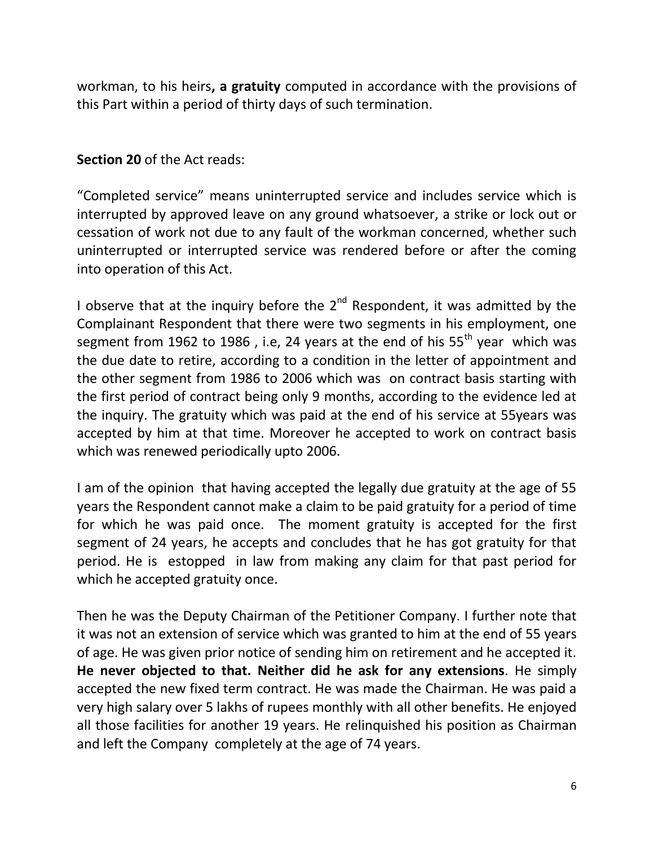workman, to his heirs**, a gratuity** computed in accordance with the provisions of this Part within a period of thirty days of such termination.

## **Section 20** of the Act reads:

"Completed service" means uninterrupted service and includes service which is interrupted by approved leave on any ground whatsoever, a strike or lock out or cessation of work not due to any fault of the workman concerned, whether such uninterrupted or interrupted service was rendered before or after the coming into operation of this Act.

I observe that at the inquiry before the  $2^{nd}$  Respondent, it was admitted by the Complainant Respondent that there were two segments in his employment, one segment from 1962 to 1986, i.e, 24 years at the end of his  $55<sup>th</sup>$  year which was the due date to retire, according to a condition in the letter of appointment and the other segment from 1986 to 2006 which was on contract basis starting with the first period of contract being only 9 months, according to the evidence led at the inquiry. The gratuity which was paid at the end of his service at 55years was accepted by him at that time. Moreover he accepted to work on contract basis which was renewed periodically upto 2006.

I am of the opinion that having accepted the legally due gratuity at the age of 55 years the Respondent cannot make a claim to be paid gratuity for a period of time for which he was paid once. The moment gratuity is accepted for the first segment of 24 years, he accepts and concludes that he has got gratuity for that period. He is estopped in law from making any claim for that past period for which he accepted gratuity once.

Then he was the Deputy Chairman of the Petitioner Company. I further note that it was not an extension of service which was granted to him at the end of 55 years of age. He was given prior notice of sending him on retirement and he accepted it. **He never objected to that. Neither did he ask for any extensions**. He simply accepted the new fixed term contract. He was made the Chairman. He was paid a very high salary over 5 lakhs of rupees monthly with all other benefits. He enjoyed all those facilities for another 19 years. He relinquished his position as Chairman and left the Company completely at the age of 74 years.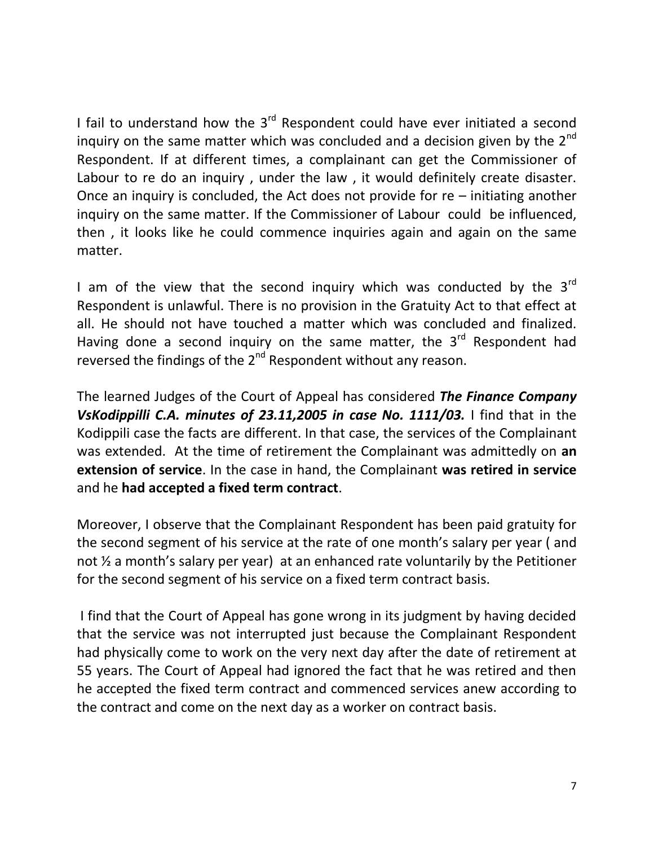I fail to understand how the  $3<sup>rd</sup>$  Respondent could have ever initiated a second inquiry on the same matter which was concluded and a decision given by the  $2^{nd}$ Respondent. If at different times, a complainant can get the Commissioner of Labour to re do an inquiry , under the law , it would definitely create disaster. Once an inquiry is concluded, the Act does not provide for re – initiating another inquiry on the same matter. If the Commissioner of Labour could be influenced, then , it looks like he could commence inquiries again and again on the same matter.

I am of the view that the second inquiry which was conducted by the  $3^{rd}$ Respondent is unlawful. There is no provision in the Gratuity Act to that effect at all. He should not have touched a matter which was concluded and finalized. Having done a second inquiry on the same matter, the  $3<sup>rd</sup>$  Respondent had reversed the findings of the  $2^{nd}$  Respondent without any reason.

The learned Judges of the Court of Appeal has considered *The Finance Company VsKodippilli C.A. minutes of 23.11,2005 in case No. 1111/03.* I find that in the Kodippili case the facts are different. In that case, the services of the Complainant was extended. At the time of retirement the Complainant was admittedly on **an extension of service**. In the case in hand, the Complainant **was retired in service** and he **had accepted a fixed term contract**.

Moreover, I observe that the Complainant Respondent has been paid gratuity for the second segment of his service at the rate of one month's salary per year ( and not ½ a month's salary per year) at an enhanced rate voluntarily by the Petitioner for the second segment of his service on a fixed term contract basis.

I find that the Court of Appeal has gone wrong in its judgment by having decided that the service was not interrupted just because the Complainant Respondent had physically come to work on the very next day after the date of retirement at 55 years. The Court of Appeal had ignored the fact that he was retired and then he accepted the fixed term contract and commenced services anew according to the contract and come on the next day as a worker on contract basis.